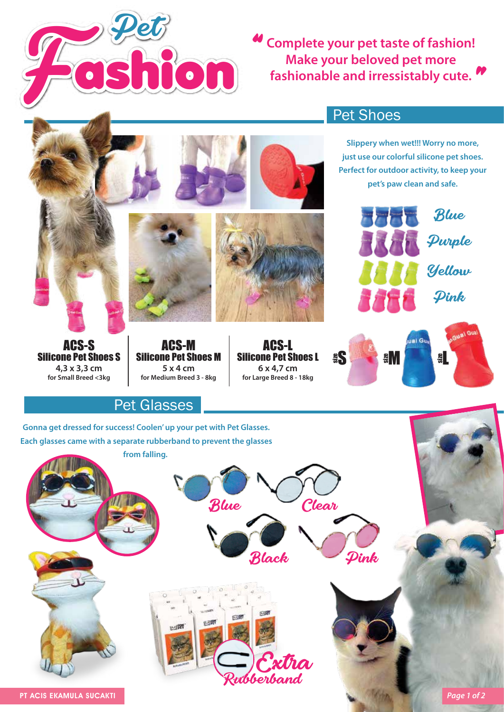

**Complete your pet taste of fashion!** " **Make your beloved pet more fashionable and irressistably cute.** "



Rubberband

PT ACIS EKAMULA SUCAKTI